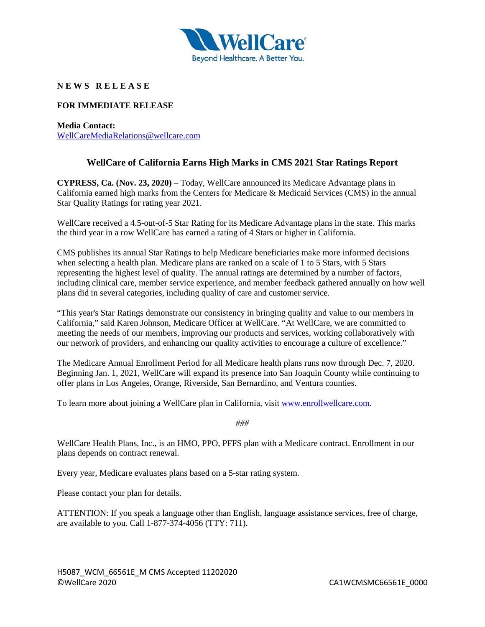

## **N E W S R E L E A S E**

## **FOR IMMEDIATE RELEASE**

**Media Contact:** [WellCareMediaRelations@wellcare.com](mailto:WellCareMediaRelations@wellcare.com)

## **WellCare of California Earns High Marks in CMS 2021 Star Ratings Report**

**CYPRESS, Ca. (Nov. 23, 2020)** – Today, WellCare announced its Medicare Advantage plans in California earned high marks from the Centers for Medicare & Medicaid Services (CMS) in the annual Star Quality Ratings for rating year 2021.

WellCare received a 4.5-out-of-5 Star Rating for its Medicare Advantage plans in the state. This marks the third year in a row WellCare has earned a rating of 4 Stars or higher in California.

CMS publishes its annual Star Ratings to help Medicare beneficiaries make more informed decisions when selecting a health plan. Medicare plans are ranked on a scale of 1 to 5 Stars, with 5 Stars representing the highest level of quality. The annual ratings are determined by a number of factors, including clinical care, member service experience, and member feedback gathered annually on how well plans did in several categories, including quality of care and customer service.

"This year's Star Ratings demonstrate our consistency in bringing quality and value to our members in California," said Karen Johnson, Medicare Officer at WellCare. "At WellCare, we are committed to meeting the needs of our members, improving our products and services, working collaboratively with our network of providers, and enhancing our quality activities to encourage a culture of excellence."

The Medicare Annual Enrollment Period for all Medicare health plans runs now through Dec. 7, 2020. Beginning Jan. 1, 2021, WellCare will expand its presence into San Joaquin County while continuing to offer plans in Los Angeles, Orange, Riverside, San Bernardino, and Ventura counties.

To learn more about joining a WellCare plan in California, visit [www.enrollwellcare.com.](http://www.enrollwellcare.com/)

*###*

WellCare Health Plans, Inc., is an HMO, PPO, PFFS plan with a Medicare contract. Enrollment in our plans depends on contract renewal.

Every year, Medicare evaluates plans based on a 5-star rating system.

Please contact your plan for details.

ATTENTION: If you speak a language other than English, language assistance services, free of charge, are available to you. Call 1-877-374-4056 (TTY: 711).